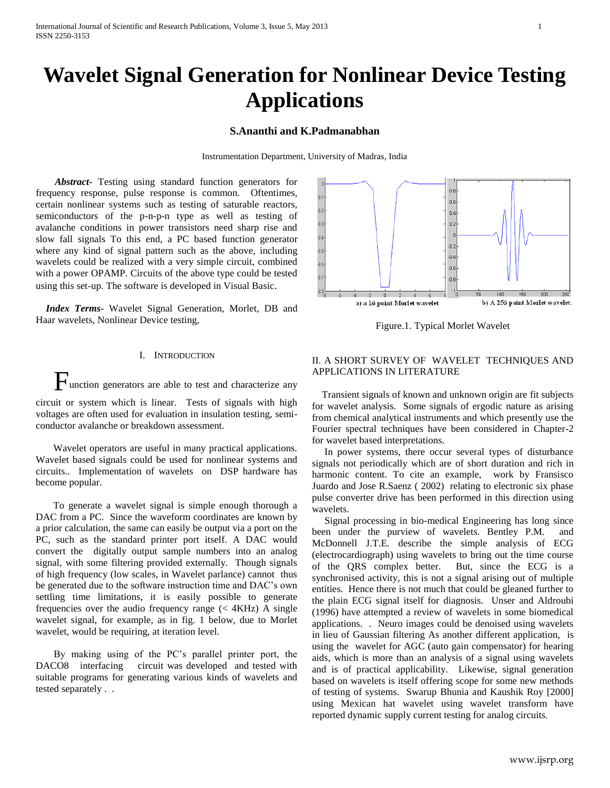# **Wavelet Signal Generation for Nonlinear Device Testing Applications**

# **S.Ananthi and K.Padmanabhan**

Instrumentation Department, University of Madras, India

 *Abstract***-** Testing using standard function generators for frequency response, pulse response is common. Oftentimes, certain nonlinear systems such as testing of saturable reactors, semiconductors of the p-n-p-n type as well as testing of avalanche conditions in power transistors need sharp rise and slow fall signals To this end, a PC based function generator where any kind of signal pattern such as the above, including wavelets could be realized with a very simple circuit, combined with a power OPAMP. Circuits of the above type could be tested using this set-up. The software is developed in Visual Basic.

 *Index Terms*- Wavelet Signal Generation, Morlet, DB and Haar wavelets, Nonlinear Device testing,

## I. INTRODUCTION

Function generators are able to test and characterize any circuit or system which is linear. Tests of signals with high

voltages are often used for evaluation in insulation testing, semiconductor avalanche or breakdown assessment.

 Wavelet operators are useful in many practical applications. Wavelet based signals could be used for nonlinear systems and circuits.. Implementation of wavelets on DSP hardware has become popular.

 To generate a wavelet signal is simple enough thorough a DAC from a PC. Since the waveform coordinates are known by a prior calculation, the same can easily be output via a port on the PC, such as the standard printer port itself. A DAC would convert the digitally output sample numbers into an analog signal, with some filtering provided externally. Though signals of high frequency (low scales, in Wavelet parlance) cannot thus be generated due to the software instruction time and DAC's own settling time limitations, it is easily possible to generate frequencies over the audio frequency range  $( $4KHz$ ) A single$ wavelet signal, for example, as in fig. 1 below, due to Morlet wavelet, would be requiring, at iteration level.

By making using of the PC's parallel printer port, the DACO8 interfacing circuit was developed and tested with suitable programs for generating various kinds of wavelets and tested separately . .



Figure.1. Typical Morlet Wavelet

# II. A SHORT SURVEY OF WAVELET TECHNIQUES AND APPLICATIONS IN LITERATURE

 Transient signals of known and unknown origin are fit subjects for wavelet analysis. Some signals of ergodic nature as arising from chemical analytical instruments and which presently use the Fourier spectral techniques have been considered in Chapter-2 for wavelet based interpretations.

 In power systems, there occur several types of disturbance signals not periodically which are of short duration and rich in harmonic content. To cite an example, work by Fransisco Juardo and Jose R.Saenz ( 2002) relating to electronic six phase pulse converter drive has been performed in this direction using wavelets.

 Signal processing in bio-medical Engineering has long since been under the purview of wavelets. Bentley P.M. and McDonnell J.T.E. describe the simple analysis of ECG (electrocardiograph) using wavelets to bring out the time course of the QRS complex better. But, since the ECG is a synchronised activity, this is not a signal arising out of multiple entities. Hence there is not much that could be gleaned further to the plain ECG signal itself for diagnosis. Unser and Aldroubi (1996) have attempted a review of wavelets in some biomedical applications. . Neuro images could be denoised using wavelets in lieu of Gaussian filtering As another different application, is using the wavelet for AGC (auto gain compensator) for hearing aids, which is more than an analysis of a signal using wavelets and is of practical applicability. Likewise, signal generation based on wavelets is itself offering scope for some new methods of testing of systems. Swarup Bhunia and Kaushik Roy [2000] using Mexican hat wavelet using wavelet transform have reported dynamic supply current testing for analog circuits.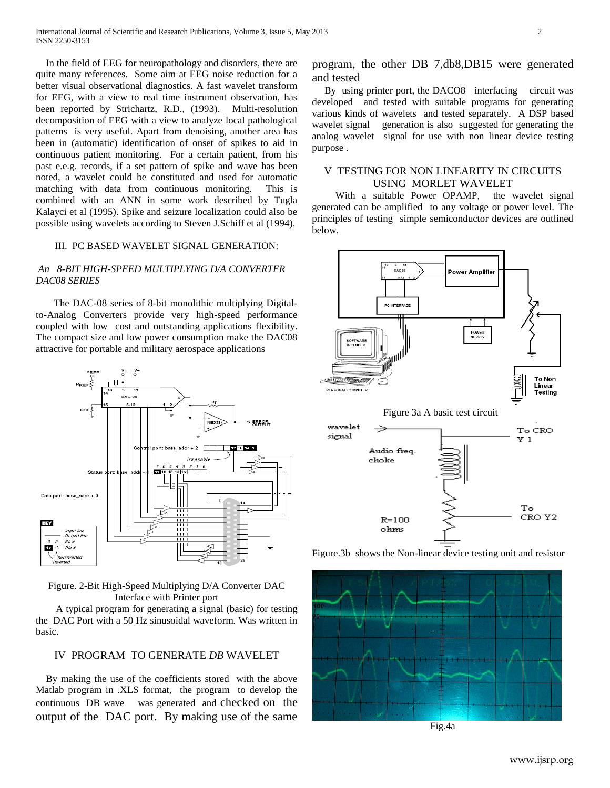In the field of EEG for neuropathology and disorders, there are quite many references. Some aim at EEG noise reduction for a better visual observational diagnostics. A fast wavelet transform for EEG, with a view to real time instrument observation, has been reported by Strichartz, R.D., (1993). Multi-resolution decomposition of EEG with a view to analyze local pathological patterns is very useful. Apart from denoising, another area has been in (automatic) identification of onset of spikes to aid in continuous patient monitoring. For a certain patient, from his past e.e.g. records, if a set pattern of spike and wave has been noted, a wavelet could be constituted and used for automatic matching with data from continuous monitoring. This is combined with an ANN in some work described by Tugla Kalayci et al (1995). Spike and seizure localization could also be possible using wavelets according to Steven J.Schiff et al (1994).

### III. PC BASED WAVELET SIGNAL GENERATION:

## *An 8-BIT HIGH-SPEED MULTIPLYING D/A CONVERTER DAC08 SERIES*

The DAC-08 series of 8-bit monolithic multiplying Digitalto-Analog Converters provide very high-speed performance coupled with low cost and outstanding applications flexibility. The compact size and low power consumption make the DAC08 attractive for portable and military aerospace applications



Figure. 2-Bit High-Speed Multiplying D/A Converter DAC Interface with Printer port

 A typical program for generating a signal (basic) for testing the DAC Port with a 50 Hz sinusoidal waveform. Was written in basic.

### IV PROGRAM TO GENERATE *DB* WAVELET

 By making the use of the coefficients stored with the above Matlab program in .XLS format, the program to develop the continuous DB wave was generated and checked on the output of the DAC port. By making use of the same

program, the other DB 7,db8,DB15 were generated and tested

 By using printer port, the DACO8 interfacing circuit was developed and tested with suitable programs for generating various kinds of wavelets and tested separately. A DSP based wavelet signal generation is also suggested for generating the analog wavelet signal for use with non linear device testing purpose .

## V TESTING FOR NON LINEARITY IN CIRCUITS USING MORLET WAVELET

With a suitable Power OPAMP, the wavelet signal generated can be amplified to any voltage or power level. The principles of testing simple semiconductor devices are outlined below.





Fig.4a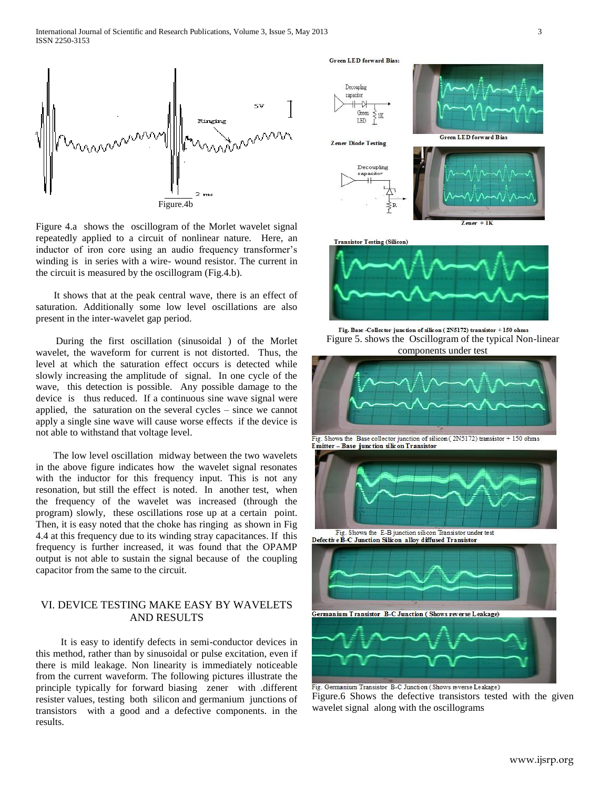

Figure 4.a shows the oscillogram of the Morlet wavelet signal repeatedly applied to a circuit of nonlinear nature. Here, an inductor of iron core using an audio frequency transformer's winding is in series with a wire- wound resistor. The current in the circuit is measured by the oscillogram (Fig.4.b).

It shows that at the peak central wave, there is an effect of saturation. Additionally some low level oscillations are also present in the inter-wavelet gap period.

 During the first oscillation (sinusoidal ) of the Morlet wavelet, the waveform for current is not distorted. Thus, the level at which the saturation effect occurs is detected while slowly increasing the amplitude of signal. In one cycle of the wave, this detection is possible. Any possible damage to the device is thus reduced. If a continuous sine wave signal were applied, the saturation on the several cycles – since we cannot apply a single sine wave will cause worse effects if the device is not able to withstand that voltage level.

 The low level oscillation midway between the two wavelets in the above figure indicates how the wavelet signal resonates with the inductor for this frequency input. This is not any resonation, but still the effect is noted. In another test, when the frequency of the wavelet was increased (through the program) slowly, these oscillations rose up at a certain point. Then, it is easy noted that the choke has ringing as shown in Fig 4.4 at this frequency due to its winding stray capacitances. If this frequency is further increased, it was found that the OPAMP output is not able to sustain the signal because of the coupling capacitor from the same to the circuit.

# VI. DEVICE TESTING MAKE EASY BY WAVELETS AND RESULTS

 It is easy to identify defects in semi-conductor devices in this method, rather than by sinusoidal or pulse excitation, even if there is mild leakage. Non linearity is immediately noticeable from the current waveform. The following pictures illustrate the principle typically for forward biasing zener with .different resister values, testing both silicon and germanium junctions of transistors with a good and a defective components. in the results.

**Green LED** forward Bias:

Decoupling capacito  $\ddotplus$  $\rightarrow$ Green 1K LED **Green LED forward Bias Zener Diode Testing** Decoupling capacitor 41  $Z$ ener +  $1K$ 



Fig. Base -Collector junction of silicon (2N5172) transistor +150 ohms Figure 5. shows the Oscillogram of the typical Non-linear components under test



Fig. Shows the Base collector junction of silicon ( $2N5172$ ) transistor + 150 ohms Emitter - Base junction silicon Transistor



Defective B-C Junction Silicon alloy diffused Transistor



Fig. Germanium Transistor B-C Junction (Shows reverse Leakage) Figure.6 Shows the defective transistors tested with the given wavelet signal along with the oscillograms